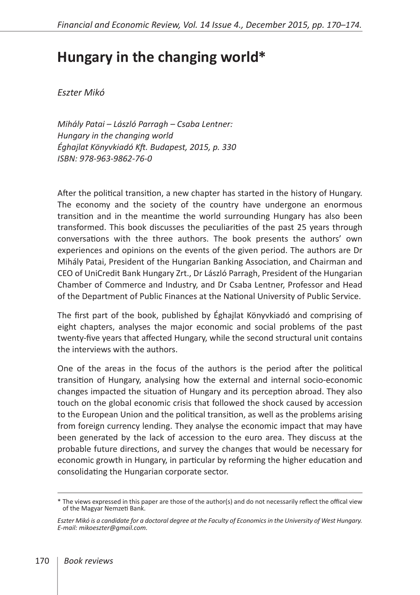## **Hungary in the changing world \***

*Eszter Mikó* 

*Mihály Patai – László Parragh – Csaba Lentner: Hungary in the changing world Éghajlat Könyvkiadó Kft. Budapest, 2015, p. 330 ISBN: 978-963-9862-76-0*

After the political transition, a new chapter has started in the history of Hungary. The economy and the society of the country have undergone an enormous transition and in the meantime the world surrounding Hungary has also been transformed. This book discusses the peculiarities of the past 25 years through conversations with the three authors. The book presents the authors' own experiences and opinions on the events of the given period. The authors are Dr Mihály Patai, President of the Hungarian Banking Association, and Chairman and CEO of UniCredit Bank Hungary Zrt., Dr László Parragh, President of the Hungarian Chamber of Commerce and Industry, and Dr Csaba Lentner, Professor and Head of the Department of Public Finances at the National University of Public Service.

The first part of the book, published by Éghajlat Könyvkiadó and comprising of eight chapters, analyses the major economic and social problems of the past twenty-five years that affected Hungary, while the second structural unit contains the interviews with the authors.

One of the areas in the focus of the authors is the period after the political transition of Hungary, analysing how the external and internal socio-economic changes impacted the situation of Hungary and its perception abroad. They also touch on the global economic crisis that followed the shock caused by accession to the European Union and the political transition, as well as the problems arising from foreign currency lending. They analyse the economic impact that may have been generated by the lack of accession to the euro area. They discuss at the probable future directions, and survey the changes that would be necessary for economic growth in Hungary, in particular by reforming the higher education and consolidating the Hungarian corporate sector.

<sup>\*</sup> The views expressed in this paper are those of the author(s) and do not necessarily reflect the offical view of the Magyar Nemzeti Bank.

*Eszter Mikó is a candidate for a doctoral degree at the Faculty of Economics in the University of West Hungary. E-mail: mikoeszter@gmail.com.*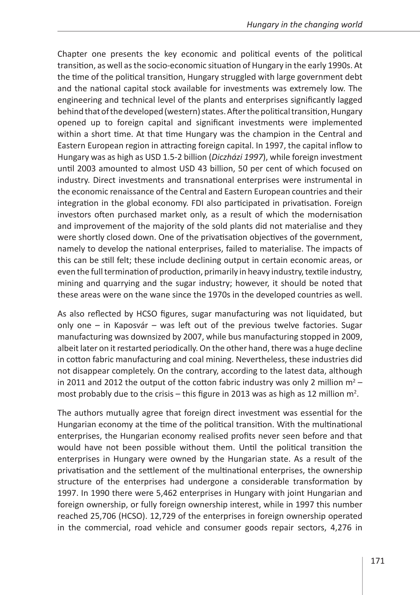Chapter one presents the key economic and political events of the political transition, as well as the socio-economic situation of Hungary in the early 1990s. At the time of the political transition, Hungary struggled with large government debt and the national capital stock available for investments was extremely low. The engineering and technical level of the plants and enterprises significantly lagged behind that of the developed (western) states. After the political transition, Hungary opened up to foreign capital and significant investments were implemented within a short time. At that time Hungary was the champion in the Central and Eastern European region in attracting foreign capital. In 1997, the capital inflow to Hungary was as high as USD 1.5-2 billion (*Diczházi 1997*), while foreign investment until 2003 amounted to almost USD 43 billion, 50 per cent of which focused on industry. Direct investments and transnational enterprises were instrumental in the economic renaissance of the Central and Eastern European countries and their integration in the global economy. FDI also participated in privatisation. Foreign investors often purchased market only, as a result of which the modernisation and improvement of the majority of the sold plants did not materialise and they were shortly closed down. One of the privatisation objectives of the government, namely to develop the national enterprises, failed to materialise. The impacts of this can be still felt; these include declining output in certain economic areas, or even the full termination of production, primarily in heavy industry, textile industry, mining and quarrying and the sugar industry; however, it should be noted that these areas were on the wane since the 1970s in the developed countries as well.

As also reflected by HCSO figures, sugar manufacturing was not liquidated, but only one – in Kaposvár – was left out of the previous twelve factories. Sugar manufacturing was downsized by 2007, while bus manufacturing stopped in 2009, albeit later on it restarted periodically. On the other hand, there was a huge decline in cotton fabric manufacturing and coal mining. Nevertheless, these industries did not disappear completely. On the contrary, according to the latest data, although in 2011 and 2012 the output of the cotton fabric industry was only 2 million  $m^2$  most probably due to the crisis – this figure in 2013 was as high as 12 million  $m^2$ .

The authors mutually agree that foreign direct investment was essential for the Hungarian economy at the time of the political transition. With the multinational enterprises, the Hungarian economy realised profits never seen before and that would have not been possible without them. Until the political transition the enterprises in Hungary were owned by the Hungarian state. As a result of the privatisation and the settlement of the multinational enterprises, the ownership structure of the enterprises had undergone a considerable transformation by 1997. In 1990 there were 5,462 enterprises in Hungary with joint Hungarian and foreign ownership, or fully foreign ownership interest, while in 1997 this number reached 25,706 (HCSO). 12,729 of the enterprises in foreign ownership operated in the commercial, road vehicle and consumer goods repair sectors, 4,276 in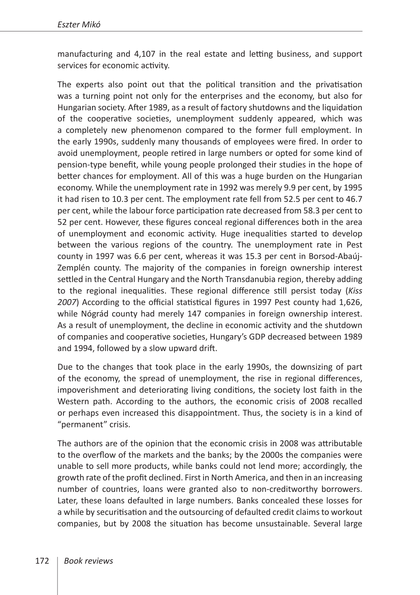manufacturing and 4,107 in the real estate and letting business, and support services for economic activity.

The experts also point out that the political transition and the privatisation was a turning point not only for the enterprises and the economy, but also for Hungarian society. After 1989, as a result of factory shutdowns and the liquidation of the cooperative societies, unemployment suddenly appeared, which was a completely new phenomenon compared to the former full employment. In the early 1990s, suddenly many thousands of employees were fired. In order to avoid unemployment, people retired in large numbers or opted for some kind of pension-type benefit, while young people prolonged their studies in the hope of better chances for employment. All of this was a huge burden on the Hungarian economy. While the unemployment rate in 1992 was merely 9.9 per cent, by 1995 it had risen to 10.3 per cent. The employment rate fell from 52.5 per cent to 46.7 per cent, while the labour force participation rate decreased from 58.3 per cent to 52 per cent. However, these figures conceal regional differences both in the area of unemployment and economic activity. Huge inequalities started to develop between the various regions of the country. The unemployment rate in Pest county in 1997 was 6.6 per cent, whereas it was 15.3 per cent in Borsod-Abaúj-Zemplén county. The majority of the companies in foreign ownership interest settled in the Central Hungary and the North Transdanubia region, thereby adding to the regional inequalities. These regional difference still persist today (*Kiss 2007*) According to the official statistical figures in 1997 Pest county had 1,626, while Nógrád county had merely 147 companies in foreign ownership interest. As a result of unemployment, the decline in economic activity and the shutdown of companies and cooperative societies, Hungary's GDP decreased between 1989 and 1994, followed by a slow upward drift.

Due to the changes that took place in the early 1990s, the downsizing of part of the economy, the spread of unemployment, the rise in regional differences, impoverishment and deteriorating living conditions, the society lost faith in the Western path. According to the authors, the economic crisis of 2008 recalled or perhaps even increased this disappointment. Thus, the society is in a kind of "permanent" crisis.

The authors are of the opinion that the economic crisis in 2008 was attributable to the overflow of the markets and the banks; by the 2000s the companies were unable to sell more products, while banks could not lend more; accordingly, the growth rate of the profit declined. First in North America, and then in an increasing number of countries, loans were granted also to non-creditworthy borrowers. Later, these loans defaulted in large numbers. Banks concealed these losses for a while by securitisation and the outsourcing of defaulted credit claims to workout companies, but by 2008 the situation has become unsustainable. Several large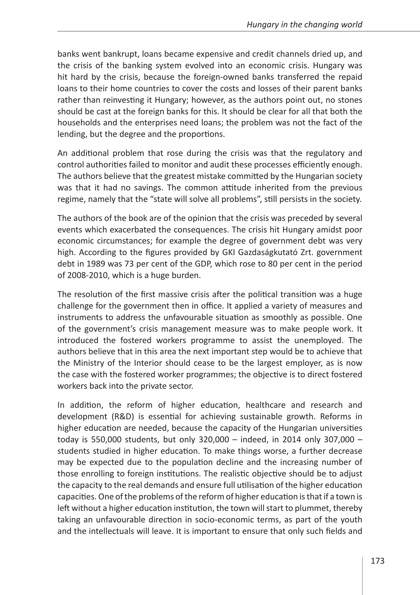banks went bankrupt, loans became expensive and credit channels dried up, and the crisis of the banking system evolved into an economic crisis. Hungary was hit hard by the crisis, because the foreign-owned banks transferred the repaid loans to their home countries to cover the costs and losses of their parent banks rather than reinvesting it Hungary; however, as the authors point out, no stones should be cast at the foreign banks for this. It should be clear for all that both the households and the enterprises need loans; the problem was not the fact of the lending, but the degree and the proportions.

An additional problem that rose during the crisis was that the regulatory and control authorities failed to monitor and audit these processes efficiently enough. The authors believe that the greatest mistake committed by the Hungarian society was that it had no savings. The common attitude inherited from the previous regime, namely that the "state will solve all problems", still persists in the society.

The authors of the book are of the opinion that the crisis was preceded by several events which exacerbated the consequences. The crisis hit Hungary amidst poor economic circumstances; for example the degree of government debt was very high. According to the figures provided by GKI Gazdaságkutató Zrt. government debt in 1989 was 73 per cent of the GDP, which rose to 80 per cent in the period of 2008-2010, which is a huge burden.

The resolution of the first massive crisis after the political transition was a huge challenge for the government then in office. It applied a variety of measures and instruments to address the unfavourable situation as smoothly as possible. One of the government's crisis management measure was to make people work. It introduced the fostered workers programme to assist the unemployed. The authors believe that in this area the next important step would be to achieve that the Ministry of the Interior should cease to be the largest employer, as is now the case with the fostered worker programmes; the objective is to direct fostered workers back into the private sector.

In addition, the reform of higher education, healthcare and research and development (R&D) is essential for achieving sustainable growth. Reforms in higher education are needed, because the capacity of the Hungarian universities today is 550,000 students, but only 320,000 – indeed, in 2014 only 307,000 – students studied in higher education. To make things worse, a further decrease may be expected due to the population decline and the increasing number of those enrolling to foreign institutions. The realistic objective should be to adjust the capacity to the real demands and ensure full utilisation of the higher education capacities. One of the problems of the reform of higher education is that if a town is left without a higher education institution, the town will start to plummet, thereby taking an unfavourable direction in socio-economic terms, as part of the youth and the intellectuals will leave. It is important to ensure that only such fields and